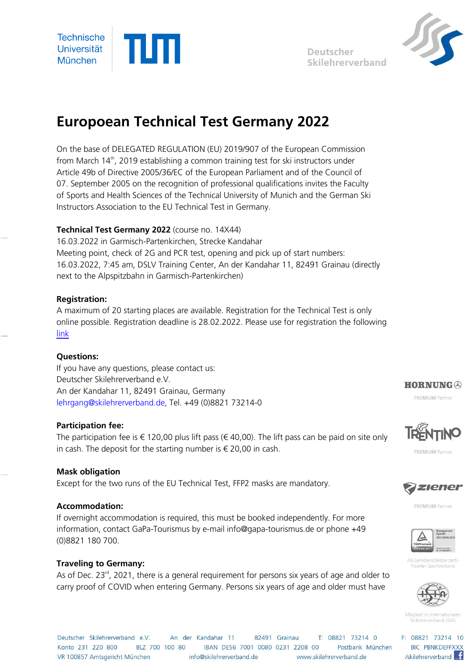





# **Europoean Technical Test Germany 2022**

On the base of DELEGATED REGULATION (EU) 2019/907 of the European Commission from March 14<sup>th</sup>, 2019 establishing a common training test for ski instructors under Article 49b of Directive 2005/36/EC of the European Parliament and of the Council of 07. September 2005 on the recognition of professional qualifications invites the Faculty of Sports and Health Sciences of the Technical University of Munich and the German Ski Instructors Association to the EU Technical Test in Germany.

## **Technical Test Germany 2022** (course no. 14X44)

16.03.2022 in Garmisch-Partenkirchen, Strecke Kandahar Meeting point, check of 2G and PCR test, opening and pick up of start numbers: 16.03.2022, 7:45 am, DSLV Training Center, An der Kandahar 11, 82491 Grainau (directly next to the Alpspitzbahn in Garmisch-Partenkirchen)

## **Registration:**

A maximum of 20 starting places are available. Registration for the Technical Test is only online possible. Registration deadline is 28.02.2022. Please use for registration the following [link](https://skilehrerverband.de/anerkennungslehrgaenge-europa/)

## **Questions:**

If you have any questions, please contact us: Deutscher Skilehrerverband e.V. An der Kandahar 11, 82491 Grainau, Germany lehrgang@skilehrerverband.de, Tel. +49 (0)8821 73214-0

## **Participation fee:**

The participation fee is  $\epsilon$  120,00 plus lift pass ( $\epsilon$  40,00). The lift pass can be paid on site only in cash. The deposit for the starting number is  $\epsilon$  20,00 in cash.

## **Mask obligation**

Except for the two runs of the EU Technical Test, FFP2 masks are mandatory.

## **Accommodation:**

If overnight accommodation is required, this must be booked independently. For more information, contact GaPa-Tourismus by e-mail info@gapa-tourismus.de or phone +49 (0)8821 180 700.

## **Traveling to Germany:**

As of Dec.  $23<sup>rd</sup>$ , 2021, there is a general requirement for persons six years of age and older to carry proof of COVID when entering Germany. Persons six years of age and older must have



PREMIUM Partner



**PREMILIM Partner** 



**PREMIUM Partner** 



Als Lerndienstleister zert fizierter Sportverbang



Mitglied im International Skilehrerverhand (ISIA)

F: 08821 73214 10 **BIC PBNKDEFFXXX** /skilehrerverband

Deutscher Skilehrerverband e.V. An der Kandahar 11 82491 Grainau T: 08821 73214 0 Konto 231 220 800 BLZ 700 100 80 BBAN DE56 7001 0080 0231 2208 00 Postbank München VR 100857 Amtsgericht München info@skilehrerverband.de www.skilehrerverband.de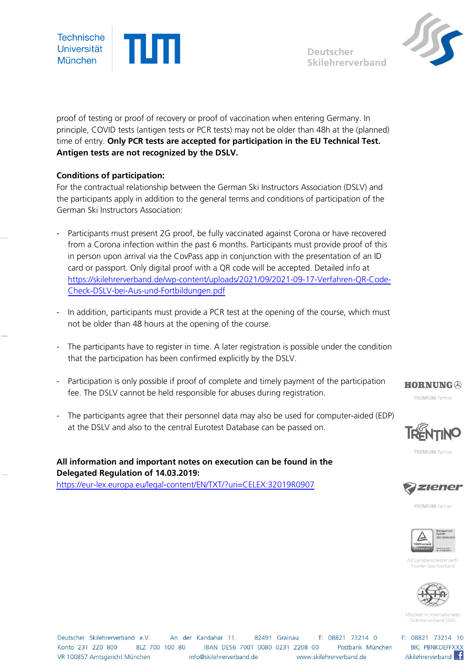

Deutscher Skilehrerverband



proof of testing or proof of recovery or proof of vaccination when entering Germany. In principle, COVID tests (antigen tests or PCR tests) may not be older than 48h at the (planned) time of entry. **Only PCR tests are accepted for participation in the EU Technical Test. Antigen tests are not recognized by the DSLV.**

## **Conditions of participation:**

For the contractual relationship between the German Ski Instructors Association (DSLV) and the participants apply in addition to the general terms and conditions of participation of the German Ski Instructors Association:

- Participants must present 2G proof, be fully vaccinated against Corona or have recovered from a Corona infection within the past 6 months. Participants must provide proof of this in person upon arrival via the CovPass app in conjunction with the presentation of an ID card or passport. Only digital proof with a QR code will be accepted. Detailed info at [https://skilehrerverband.de/wp-content/uploads/2021/09/2021-09-17-Verfahren-QR-Code-](https://skilehrerverband.de/wp-content/uploads/2021/09/2021-09-17-Verfahren-QR-Code-Check-DSLV-bei-Aus-und-Fortbildungen.pdf)[Check-DSLV-bei-Aus-und-Fortbildungen.pdf](https://skilehrerverband.de/wp-content/uploads/2021/09/2021-09-17-Verfahren-QR-Code-Check-DSLV-bei-Aus-und-Fortbildungen.pdf)
- In addition, participants must provide a PCR test at the opening of the course, which must not be older than 48 hours at the opening of the course.
- The participants have to register in time. A later registration is possible under the condition that the participation has been confirmed explicitly by the DSLV.
- Participation is only possible if proof of complete and timely payment of the participation fee. The DSLV cannot be held responsible for abuses during registration.
- The participants agree that their personnel data may also be used for computer-aided (EDP) at the DSLV and also to the central Eurotest Database can be passed on.

**All information and important notes on execution can be found in the** 

<https://eur-lex.europa.eu/legal-content/EN/TXT/?uri=CELEX:32019R0907>

**Delegated Regulation of 14.03.2019:**



**PREMILIM Partner** 



**PREMIUM Partner** 



Als Lerndienstleister zert fizierter Sportverbang



Mitglied im Internationale Skilehrerverhand (ISIA)

F: 08821 73214 10 **BIC PBNKDEFFXXX** /skilehrerverband

Deutscher Skilehrerverband e.V. An der Kandahar 11 T: 08821 73214 0 82491 Grainau Konto 231 220 800 BLZ 700 100 80 BBAN DE56 7001 0080 0231 2208 00 Postbank München VR 100857 Amtsgericht München info@skilehrerverband.de www.skilehrerverband.de

PREMIUM Partner

**HORNUNG**  $\oslash$